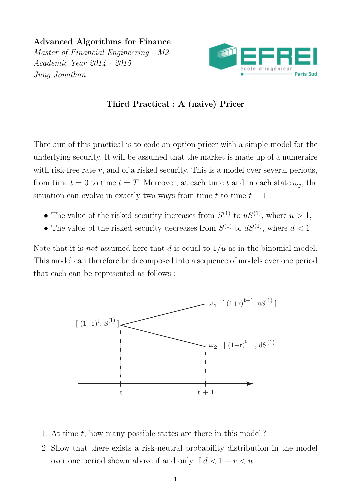Advanced Algorithms for Finance Master of Financial Engineering - M2 Academic Year 2014 - 2015 Jung Jonathan



## Third Practical : A (naive) Pricer

Thre aim of this practical is to code an option pricer with a simple model for the underlying security. It will be assumed that the market is made up of a numeraire with risk-free rate  $r$ , and of a risked security. This is a model over several periods, from time  $t = 0$  to time  $t = T$ . Moreover, at each time t and in each state  $\omega_j$ , the situation can evolve in exactly two ways from time t to time  $t + 1$ :

- The value of the risked security increases from  $S^{(1)}$  to  $uS^{(1)}$ , where  $u > 1$ ,
- The value of the risked security decreases from  $S^{(1)}$  to  $dS^{(1)}$ , where  $d < 1$ .

Note that it is *not* assumed here that d is equal to  $1/u$  as in the binomial model. This model can therefore be decomposed into a sequence of models over one period that each can be represented as follows :



- 1. At time  $t$ , how many possible states are there in this model?
- 2. Show that there exists a risk-neutral probability distribution in the model over one period shown above if and only if  $d < 1 + r < u$ .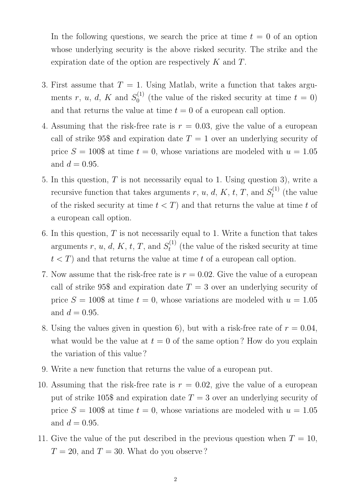In the following questions, we search the price at time  $t = 0$  of an option whose underlying security is the above risked security. The strike and the expiration date of the option are respectively K and T.

- 3. First assume that  $T = 1$ . Using Matlab, write a function that takes arguments r, u, d, K and  $S_0^{(1)}$  $v_0^{(1)}$  (the value of the risked security at time  $t = 0$ ) and that returns the value at time  $t = 0$  of a european call option.
- 4. Assuming that the risk-free rate is  $r = 0.03$ , give the value of a european call of strike 95\$ and expiration date  $T = 1$  over an underlying security of price  $S = 100\$  at time  $t = 0$ , whose variations are modeled with  $u = 1.05$ and  $d = 0.95$ .
- 5. In this question,  $T$  is not necessarily equal to 1. Using question 3), write a recursive function that takes arguments  $r, u, d, K, t, T$ , and  $S_t^{(1)}$  $t_t^{(1)}$  (the value of the risked security at time  $t < T$ ) and that returns the value at time t of a european call option.
- 6. In this question,  $T$  is not necessarily equal to 1. Write a function that takes arguments  $r, u, d, K, t, T$ , and  $S_t^{(1)}$  $t_t^{(1)}$  (the value of the risked security at time  $t < T$ ) and that returns the value at time t of a european call option.
- 7. Now assume that the risk-free rate is  $r = 0.02$ . Give the value of a european call of strike 95\$ and expiration date  $T = 3$  over an underlying security of price  $S = 100\$  at time  $t = 0$ , whose variations are modeled with  $u = 1.05$ and  $d = 0.95$ .
- 8. Using the values given in question 6), but with a risk-free rate of  $r = 0.04$ , what would be the value at  $t = 0$  of the same option? How do you explain the variation of this value ?
- 9. Write a new function that returns the value of a european put.
- 10. Assuming that the risk-free rate is  $r = 0.02$ , give the value of a european put of strike 105\$ and expiration date  $T = 3$  over an underlying security of price  $S = 100\$  at time  $t = 0$ , whose variations are modeled with  $u = 1.05$ and  $d = 0.95$ .
- 11. Give the value of the put described in the previous question when  $T = 10$ ,  $T = 20$ , and  $T = 30$ . What do you observe?